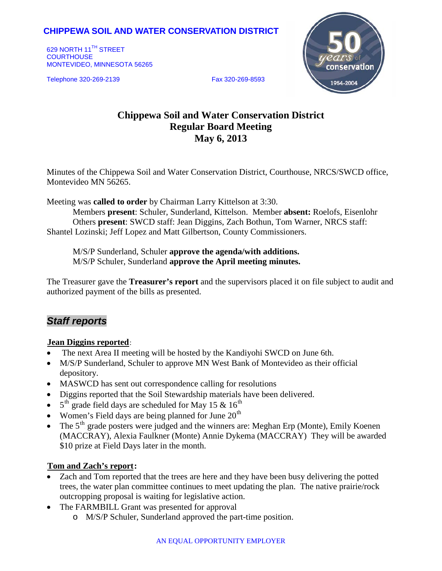# **CHIPPEWA SOIL AND WATER CONSERVATION DISTRICT**

629 NORTH 11<sup>TH</sup> STREET **COURTHOUSE** MONTEVIDEO, MINNESOTA 56265

Telephone 320-269-2139 Fax 320-269-8593



# **Chippewa Soil and Water Conservation District Regular Board Meeting May 6, 2013**

Minutes of the Chippewa Soil and Water Conservation District, Courthouse, NRCS/SWCD office, Montevideo MN 56265.

Meeting was **called to order** by Chairman Larry Kittelson at 3:30.

Members **present**: Schuler, Sunderland, Kittelson. Member **absent:** Roelofs, Eisenlohr Others **present**: SWCD staff: Jean Diggins, Zach Bothun, Tom Warner, NRCS staff: Shantel Lozinski; Jeff Lopez and Matt Gilbertson, County Commissioners.

M/S/P Sunderland, Schuler **approve the agenda/with additions.** M/S/P Schuler, Sunderland **approve the April meeting minutes.**

The Treasurer gave the **Treasurer's report** and the supervisors placed it on file subject to audit and authorized payment of the bills as presented.

# *Staff reports*

### **Jean Diggins reported:**

- The next Area II meeting will be hosted by the Kandiyohi SWCD on June 6th.
- M/S/P Sunderland, Schuler to approve MN West Bank of Montevideo as their official depository.
- MASWCD has sent out correspondence calling for resolutions
- Diggins reported that the Soil Stewardship materials have been delivered.
- $5<sup>th</sup>$  grade field days are scheduled for May 15 & 16<sup>th</sup>
- Women's Field days are being planned for June  $20<sup>th</sup>$
- The  $5<sup>th</sup>$  grade posters were judged and the winners are: Meghan Erp (Monte), Emily Koenen (MACCRAY), Alexia Faulkner (Monte) Annie Dykema (MACCRAY) They will be awarded \$10 prize at Field Days later in the month.

## **Tom and Zach's report:**

- Zach and Tom reported that the trees are here and they have been busy delivering the potted trees, the water plan committee continues to meet updating the plan. The native prairie/rock outcropping proposal is waiting for legislative action.
- The FARMBILL Grant was presented for approval
	- o M/S/P Schuler, Sunderland approved the part-time position.